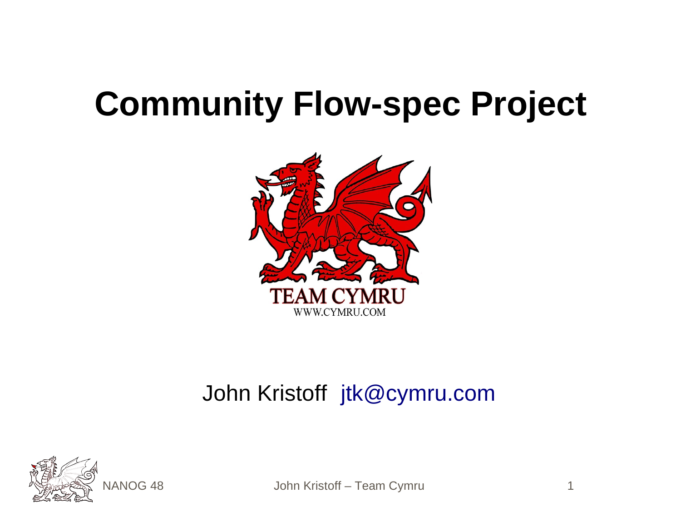#### **Community Flow-spec Project**



#### John Kristoff [jtk@cymru.com](mailto:jtk@cymru.com)



VANOG 48 John Kristoff – Team Cymru 1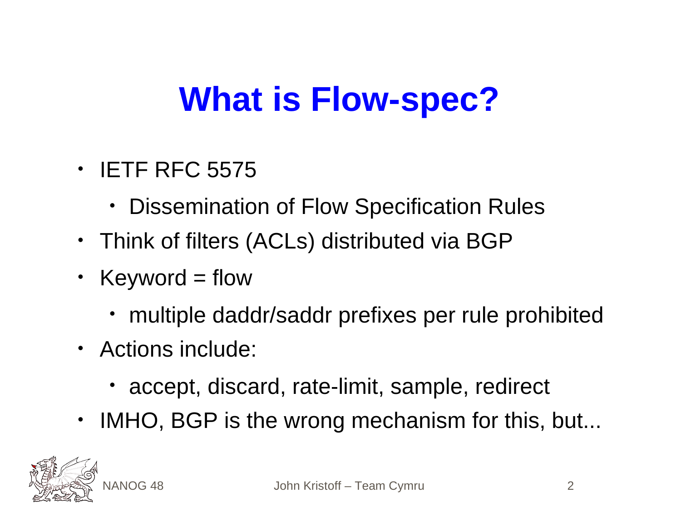# **What is Flow-spec?**

- IETF RFC 5575
	- Dissemination of Flow Specification Rules
- Think of filters (ACLs) distributed via BGP
- Keyword  $=$  flow
	- multiple daddr/saddr prefixes per rule prohibited
- Actions include:
	- accept, discard, rate-limit, sample, redirect
- IMHO, BGP is the wrong mechanism for this, but...

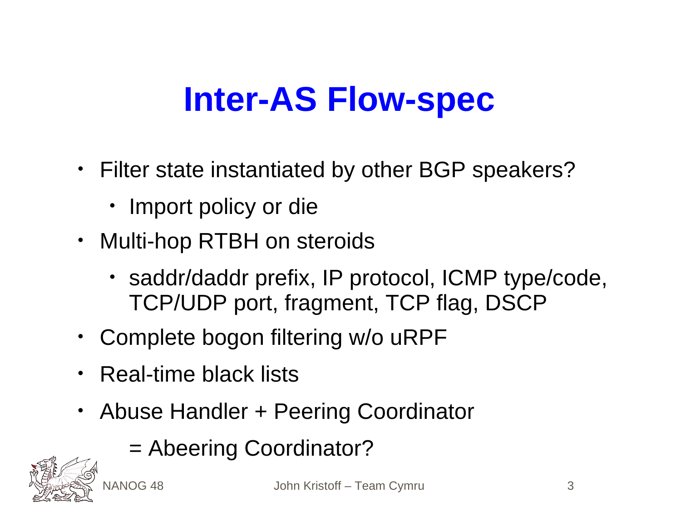# **Inter-AS Flow-spec**

- Filter state instantiated by other BGP speakers?
	- Import policy or die
- Multi-hop RTBH on steroids
	- saddr/daddr prefix, IP protocol, ICMP type/code, TCP/UDP port, fragment, TCP flag, DSCP
- Complete bogon filtering w/o uRPF
- Real-time black lists
- Abuse Handler + Peering Coordinator
	- = Abeering Coordinator?

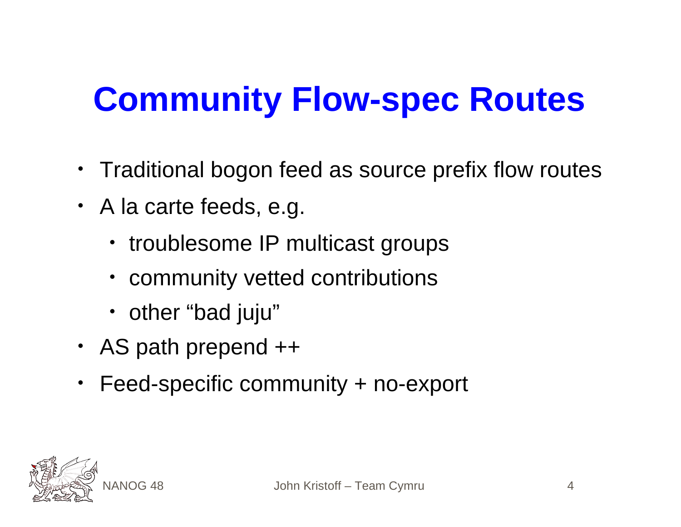# **Community Flow-spec Routes**

- Traditional bogon feed as source prefix flow routes
- A la carte feeds, e.g.
	- troublesome IP multicast groups
	- community vetted contributions
	- other "bad juju"
- AS path prepend ++
- Feed-specific community + no-export

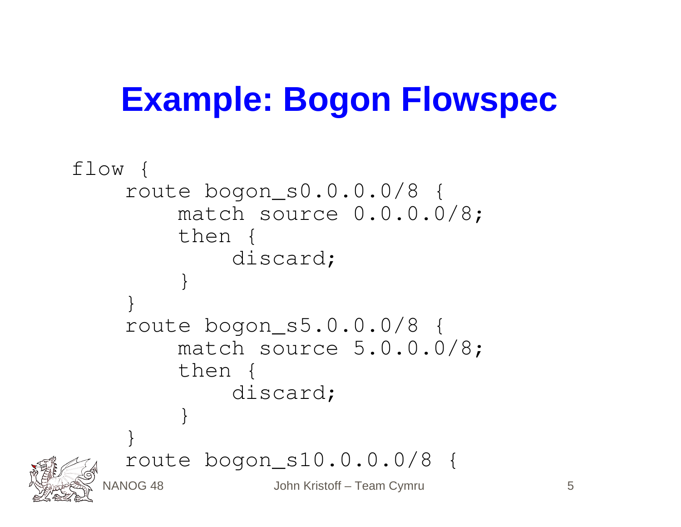#### **Example: Bogon Flowspec**

```
NANOG 48 John Kristoff – Team Cymru 5
flow {
    route bogon_s0.0.0.0/8 {
        match source 0.0.0.0/8;
         then {
             discard;
 }
 }
     route bogon_s5.0.0.0/8 {
        match source 5.0.0.0/8;
        then {
             discard;
 }
 }
     route bogon_s10.0.0.0/8 {
```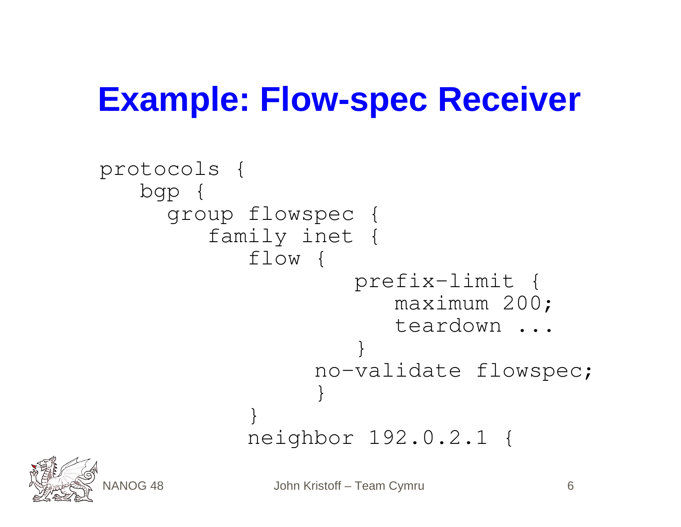#### **Example: Flow-spec Receiver**

```
protocols {
   bgp {
     group flowspec {
        family inet {
           flow {
                   prefix-limit {
                     maximum 200;
                    teardown ...
 }
                no-validate flowspec;
               }
 }
           neighbor 192.0.2.1 {
```


NANOG 48 John Kristoff – Team Cymru 6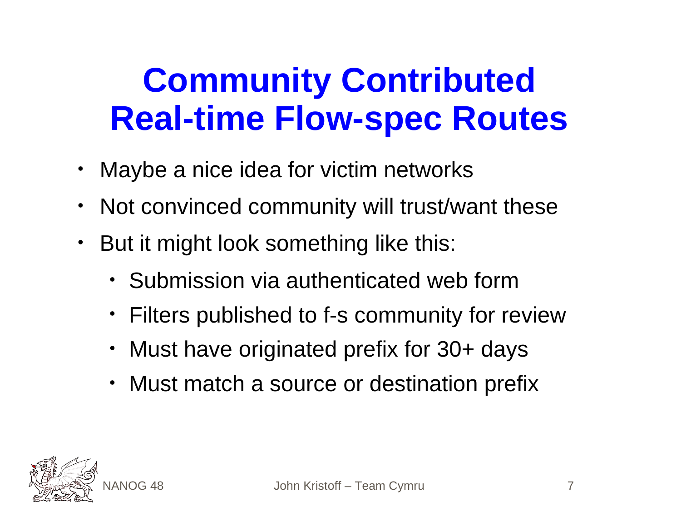#### **Community Contributed Real-time Flow-spec Routes**

- Maybe a nice idea for victim networks
- Not convinced community will trust/want these
- But it might look something like this:
	- Submission via authenticated web form
	- Filters published to f-s community for review
	- Must have originated prefix for 30+ days
	- Must match a source or destination prefix